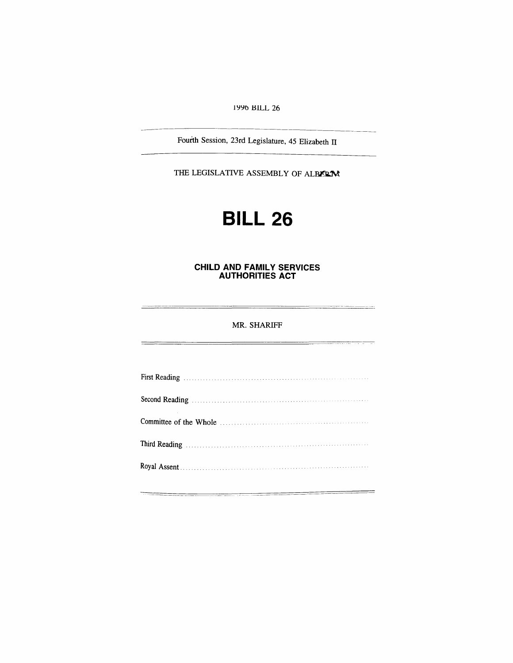*1996 BILL 26*

*Fourth Session, 23rd Legislature, 45 Elizabeth II*

*THE LEGISLATIVE ASSEMBLY OF ALBERTA*

# *BILL 26*

#### *CHILD AND FAMILY SERVICES AUTHORITIES ACT*

### *MR. SHARIFF*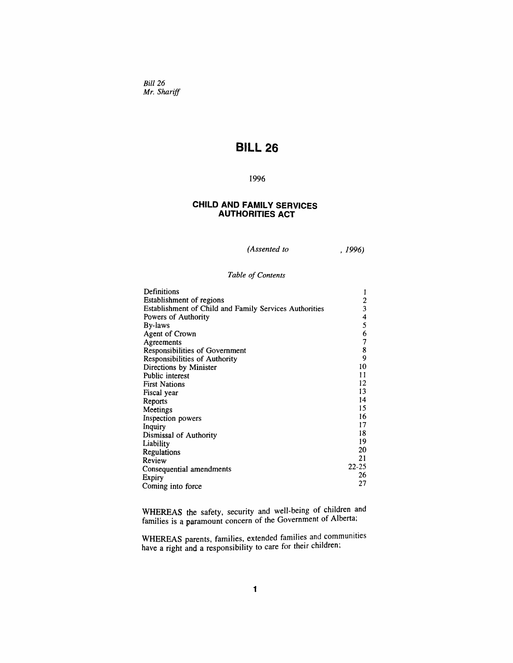*Bill 26 Mr. Shariff*

# *BILL 26*

## *1996*

### *CHILD AND FAMILY SERVICES AUTHORITIES ACT*

*(Assented to , 1996)*

#### *Table of Contents*

| Definitions                                                   |           |
|---------------------------------------------------------------|-----------|
| Establishment of regions                                      |           |
| <b>Establishment of Child and Family Services Authorities</b> | 3         |
| Powers of Authority                                           | 4         |
| By-laws                                                       | 5         |
| Agent of Crown                                                | 6         |
| Agreements                                                    | 7         |
| Responsibilities of Government                                | 8         |
| Responsibilities of Authority                                 | 9         |
| Directions by Minister                                        | 10        |
| Public interest                                               | 11        |
| <b>First Nations</b>                                          | 12        |
| Fiscal year                                                   | 13        |
| Reports                                                       | 14        |
| Meetings                                                      | 15        |
| Inspection powers                                             | 16        |
| Inquiry                                                       | 17        |
| Dismissal of Authority                                        | 18        |
| Liability                                                     | 19        |
| Regulations                                                   | 20        |
| Review                                                        | 21        |
| Consequential amendments                                      | $22 - 25$ |
| Expiry                                                        | 26        |
| Coming into force                                             | 27        |

*WHEREAS the safety, security and well-being of children and families is a paramount concern of the Government of Alberta,*

*WHEREAS parents, families, extended families and communities have a right and a responsibility to care for their children,*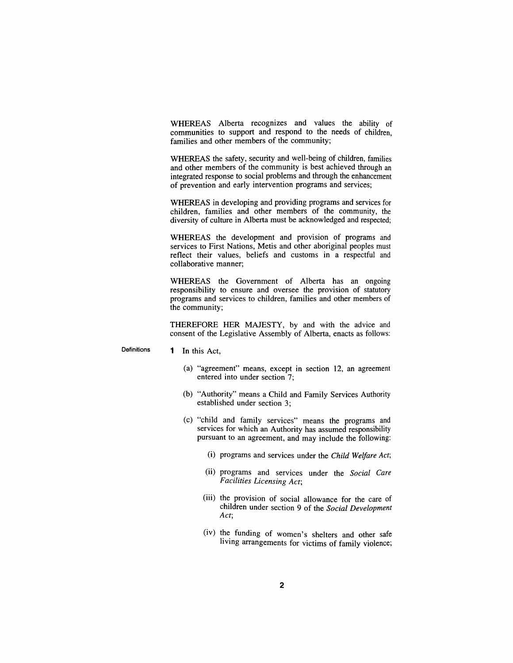*WHEREAS Alberta recognizes and values the ability of communities to support and respond to the needs of children, families and other members of the community;*

*WHEREAS the safety, security and well-being of children, families and other members of the community is best achieved through an integrated response to social problems and through the enhancement of prevention and early intervention programs and services;*

*WHEREAS in developing and providing programs and services for children, families and other members of the community, the diversity of culture in Alberta must be acknowledged and respected;*

*WHEREAS the development and provision of programs and services to First Nations, Metis and other aboriginal peoples must reflect their values, beliefs and customs in a respectful and collaborative manner;*

*WHEREAS the Government of Alberta has an ongoing responsibility to ensure and oversee the provision of statutory programs and services to children, families and other members of the community;*

*THEREFORE HER MAJESTY, by and with the advice and consent of the Legislative Assembly of Alberta, enacts as follows:*

*Definitions <sup>1</sup> In this Act,*

- *(a) "agreement" means, except in section 12, an agreement entered into under section 7;*
- *(b) "Authority" means a Child and Family Services Authority established under section 3;*
- *(c) "child and family services" means the programs and services for which an Authority has assumed responsibility pursuant to an agreement, and may include the following:*
	- *(i) programs and services under the Child Welfare Act;*
	- *(ii) programs and services under the Social Care Facilities Licensing Act;*
	- *(iii) the provision of social allowance for the care of children under section 9 of the Social Development Act;*
	- *(iv) the funding of women's shelters and other safe living arrangements for victims of family violence;*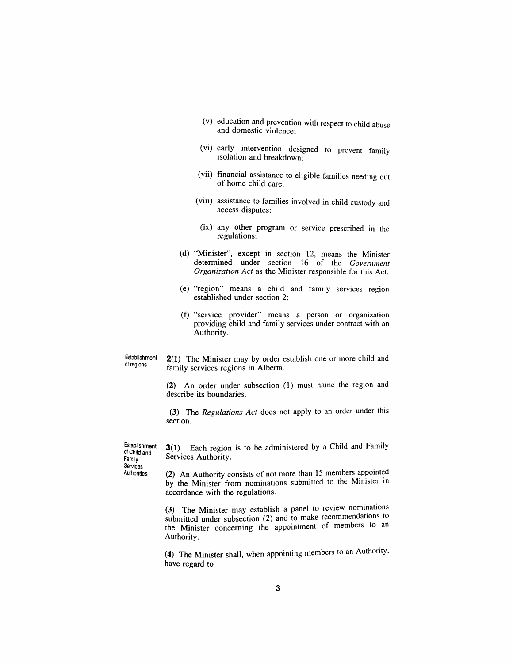- *(v) education and prevention with respect to child abuse and domestic violence;*
- *(vi) early intervention designed to prevent family isolation and breakdown;*
- *(vii) financial assistance to eligible families needing out of home child care;*
- *(viii) assistance to families involved in child custody and access disputes;*
- *(ix) any other program or service prescribed in the regulations;*
- *(d) "Minister", except in section 12, means the Minister determined under section 16 of the Government Organization Act as the Minister responsible for this Act;*
- *(e) "region" means a child and family services region established under section 2;*
- *(f) "service provider" means a person or organization providing child and family services under contract with an Authority.*

*Establishment of regions*

*2(1) The Minister may by order establish one or more child and family services regions in Alberta.*

*(2) An order under subsection (1) must name the region and describe its boundaries.*

*(3) The Regulations Act does not apply to an order under this section.*

*Establishment of Child and Family Services Authorities*

*3(1) Each region is to be administered by a Child and Family Services Authority.*

*(2) An Authority consists of not more than 15 members appointed by the Minister from nominations submitted to the Minister in accordance with the regulations.*

*(3) The Minister may establish a panel to review nominations submitted under subsection (2) and to make recommendations to the Minister concerning the appointment of members to an Authority.*

*(4) The Minister shall, when appointing members to an Authority, have regard to*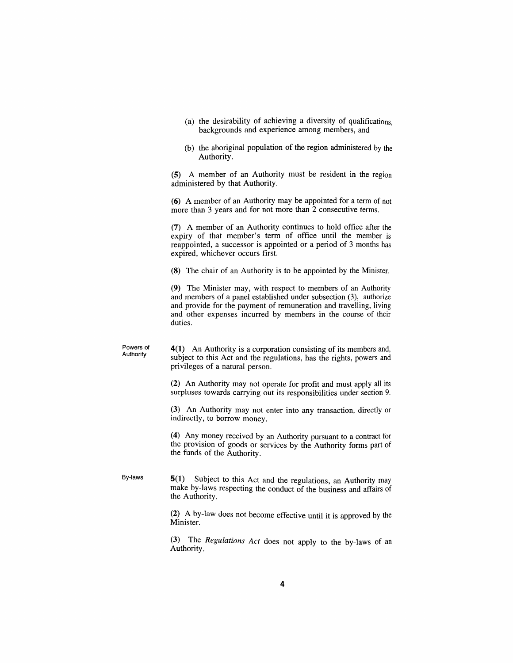- *(a) the desirability of achieving a diversity of qualifications, backgrounds and experience among members, and*
- *(b) the aboriginal population of the region administered by the Authority.*

*(5) A member of an Authority must be resident in the region administered by that Authority.*

*(6) A member of an Authority may be appointed for a term of not more than 3 years and for not more than 2 consecutive terms.*

*(7) A member of an Authority continues to hold office after the expiry of that member's term of office until the member is reappointed, a successor is appointed or a period of 3 months has expired, whichever occurs first.*

*(8) The chair of an Authority is to be appointed by the Minister.*

*(9) The Minister may, with respect to members of an Authority and members of a panel established under subsection (3), authorize and provide for the payment of remuneration and travelling, living and other expenses incurred by members in the course of their duties.*

*Powers of Authority 4(1) An Authority is a corporation consisting of its members and, subject to this Act and the regulations, has the rights, powers and privileges of a natural person.*

> *(2) An Authority may not operate for profit and must apply all its surpluses towards carrying out its responsibilities under section 9.*

> *(3) An Authority may not enter into any transaction, directly or indirectly, to borrow money.*

> *(4) Any money received by an Authority pursuant to a contract for the provision of goods or services by the Authority forms part of the funds of the Authority.*

*By-laws 5(1) Subject to this Act and the regulations, an Authority may make by-laws respecting the conduct of the business and affairs of the Authority.*

> *(2) A by-law does not become effective until it is approved by the Minister.*

> *(3) The Regulations Act does not apply to the by-laws of an Authority.*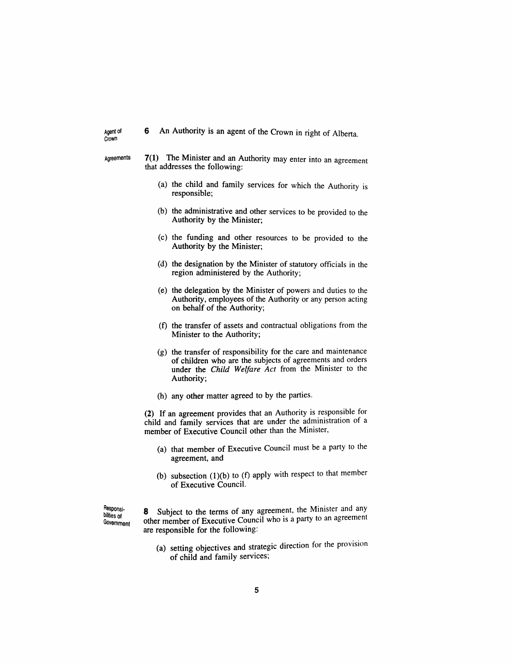|  |  | 6 An Authority is an agent of the Crown in right of Alberta. |  |  |  |  |  |  |  |  |  |  |
|--|--|--------------------------------------------------------------|--|--|--|--|--|--|--|--|--|--|
|--|--|--------------------------------------------------------------|--|--|--|--|--|--|--|--|--|--|

*Agent of Crown*

- *Agreements 7(1) The Minister and an Authority may enter into an agreement that addresses the following:*
	- *(a) the child and family services for which the Authority is responsible;*
	- *(b) the administrative and other services to be provided to the Authority by the Minister;*
	- *(c) the funding and other resources to be provided to the Authority by the Minister;*
	- *(d) the designation by the Minister of statutory officials in the region administered by the Authority;*
	- *(e) the delegation by the Minister of powers and duties to the Authority, employees of the Authority or any person acting on behalf of the Authority;*
	- *(f) the transfer of assets and contractual obligations from the Minister to the Authority;*
	- *(g) the transfer of responsibility for the care and maintenance of children who are the subjects of agreements and orders under the Child Welfare Act from the Minister to the Authority;*
	- *(h) any other matter agreed to by the parties.*

*(2) If an agreement provides that an Authority is responsible for child and family services that are under the administration of a member of Executive Council other than the Minister,*

- *(a) that member of Executive Council must be a party to the agreement, and*
- *(b) subsection (1)(b) to (f) apply with respect to that member of Executive Council.*

*Responsibilities of Government* *8 Subject to the terms of any agreement, the Minister and any other member of Executive Council who is a party to an agreement are responsible for the following:*

*(a) setting objectives and strategic direction for the provision of child and family services;*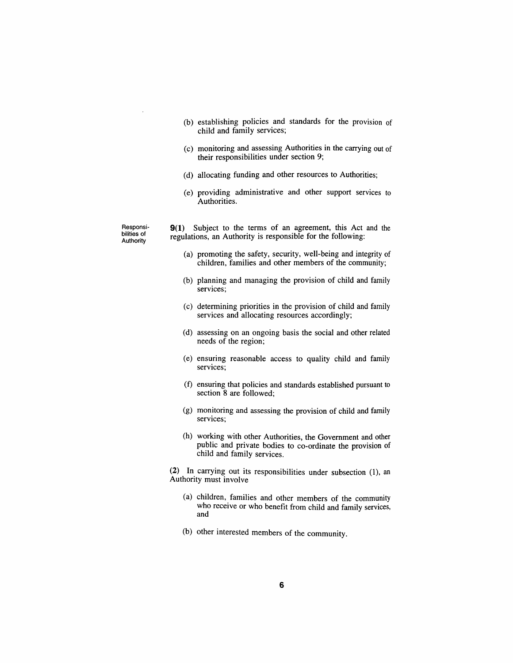- *(b) establishing policies and standards for the provision of child and family services;*
- *(c) monitoring and assessing Authorities in the carrying out of their responsibilities under section 9;*
- *(d) allocating funding and other resources to Authorities;*
- *(e) providing administrative and other support services to Authorities.*

*Responsibilities of Authority*

*9(1) Subject to the terms of an agreement, this Act and the regulations, an Authority is responsible for the following:*

- *(a) promoting the safety, security, well-being and integrity of children, families and other members of the community;*
- *(b) planning and managing the provision of child and family services;*
- *(c) determining priorities in the provision of child and family services and allocating resources accordingly;*
- *(d) assessing on an ongoing basis the social and other related needs of the region;*
- *(e) ensuring reasonable access to quality child and family services;*
- *(f) ensuring that policies and standards established pursuant to section 8 are followed;*
- *(g) monitoring and assessing the provision of child and family services;*
- *(h) working with other Authorities, the Government and other public and private bodies to co-ordinate the provision of child and family services.*

*(2) In carrying out its responsibilities under subsection (1), an Authority must involve*

- *(a) children, families and other members of the community who receive or who benefit from child and family services, and*
- *(b) other interested members of the community.*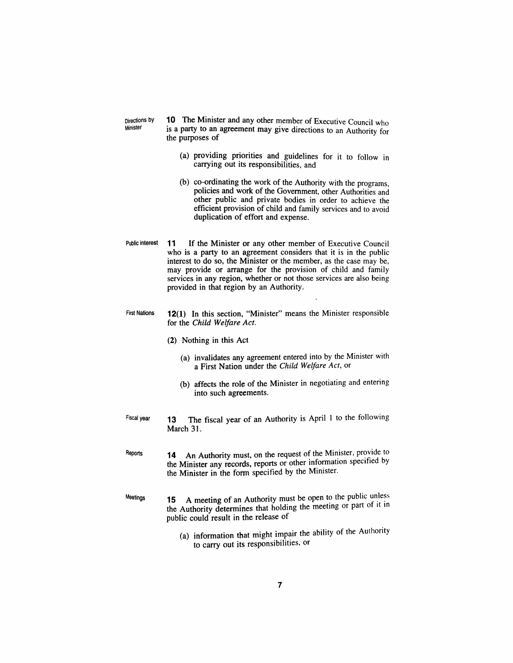*Directions by Minister*

*10 The Minister and any other member of Executive Council who is a party to an agreement may give directions to an Authority for the purposes of*

- *(a) providing priorities and guidelines for it to follow in carrying out its responsibilities, and*
- *(b) co-ordinating the work of the Authority with the programs, policies and work of the Government, other Authorities and other public and private bodies in order to achieve the efficient provision of child and family services and to avoid duplication of effort and expense.*
- *Public interest 11 If the Minister or any other member of Executive Council who is a party to an agreement considers that it is in the public interest to do so, the Minister or the member, as the case may be, may provide or arrange for the provision of child and family services in any region, whether or not those services are also being provided in that region by an Authority.*
- *First Nations 12(1) In this section, "Minister" means the Minister responsible for the Child Welfare Act.*
	- *(2) Nothing in this Act*
		- *(a) invalidates any agreement entered into by the Minister with a First Nation under the Child Welfare Act, or*
		- *(b) affects the role of the Minister in negotiating and entering into such agreements.*
- *Fiscal year 13 The fiscal year of an Authority is April <sup>1</sup> to the following March 31.*
- *Reports 14 An Authority must, on the request of the Minister, provide to the Minister any records, reports or other information specified by the Minister in the form specified by the Minister.*
- *Meetings 15 A meeting of an Authority must be open to the public unless the Authority determines that holding the meeting or part of it in public could result in the release of*
	- *(a) information that might impair the ability of the Authority to carry out its responsibilities, or*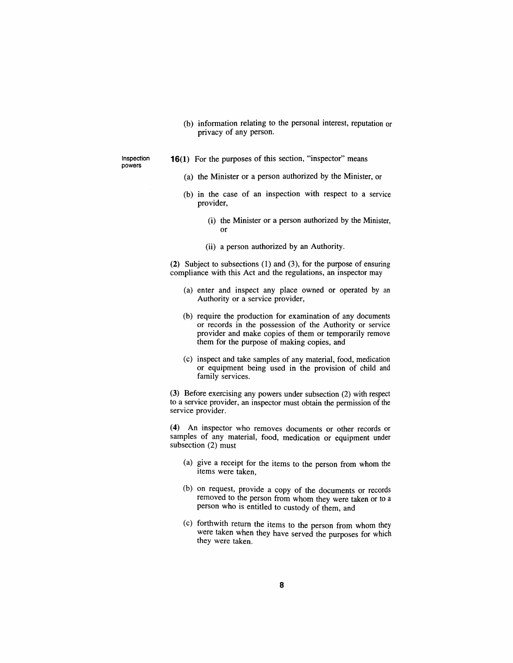- *(b) information relating to the personal interest, reputation or privacy of any person.*
- *Inspection powers*
- *16(1) For the purposes of this section, "inspector" means*
	- *(a) the Minister or a person authorized by the Minister, or*
	- *(b) in the case of an inspection with respect to a service provider,*
		- *(i) the Minister or a person authorized by the Minister, or*
		- *(ii) a person authorized by an Authority.*

*(2) Subject to subsections (1) and (3), for the purpose of ensuring compliance with this Act and the regulations, an inspector may*

- *(a) enter and inspect any place owned or operated by an Authority or a service provider,*
- *(b) require the production for examination of any documents or records in the possession of the Authority or service provider and make copies of them or temporarily remove them for the purpose of making copies, and*
- *(c) inspect and take samples of any material, food, medication or equipment being used in the provision of child and family services.*

*(3) Before exercising any powers under subsection (2) with respect to a service provider, an inspector must obtain the permission of the service provider.*

*(4) An inspector who removes documents or other records or samples of any material, food, medication or equipment under subsection (2) must*

- *(a) give a receipt for the items to the person from whom the items were taken,*
- *(b) on request, provide a copy of the documents or records removed to the person from whom they were taken or to a person who is entitled to custody of them, and*
- *(c) forthwith return the items to the person from whom they were taken when they have served the purposes for which they were taken.*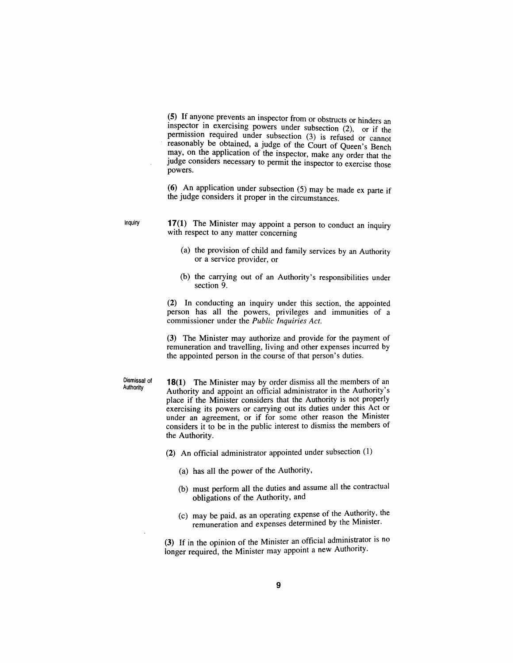*(5) If anyone prevents an inspector from or obstructs or hinders an inspector in exercising powers under subsection (2) or if the permission required under subsection (3) is refused or cannot reasonably be obtained, a judge of the Court of Queen's Bench may, on the application of the inspector, make any order that the judge considers necessary to permit the inspector to exercise those powers.*

*(6) An application under subsection (5) may be made ex parte if the judge considers it proper in the circumstances.*

*Inquiry 17(1) The Minister may appoint a person to conduct an inquiry with respect to any matter concerning*

- *(a) the provision of child and family services by an Authority or a service provider, or*
- *(b) the carrying out of an Authority's responsibilities under section 9.*

*(2) In conducting an inquiry under this section, the appointed person has all the powers, privileges and immunities of a commissioner under the Public Inquiries Act.*

*(3) The Minister may authorize and provide for the payment of remuneration and travelling, living and other expenses incurred by the appointed person in the course of that person's duties.*

*Dismissal of Authority*

*18(1) The Minister may by order dismiss all the members of an Authority and appoint an official administrator in the Authority's place if the Minister considers that the Authority is not properly exercising its powers or carrying out its duties under this Act or under an agreement, or if for some other reason the Minister considers it to be in the public interest to dismiss the members of the Authority.*

*(2) An official administrator appointed under subsection (1)*

- *(a) has all the power of the Authority,*
- *(b) must perform all the duties and assume all the contractual obligations of the Authority, and*
- *(c) may be paid, as an operating expense of the Authority, the remuneration and expenses determined by the Minister.*

*(3) If in the opinion of the Minister an official administrator is no longer required, the Minister may appoint a new Authority.*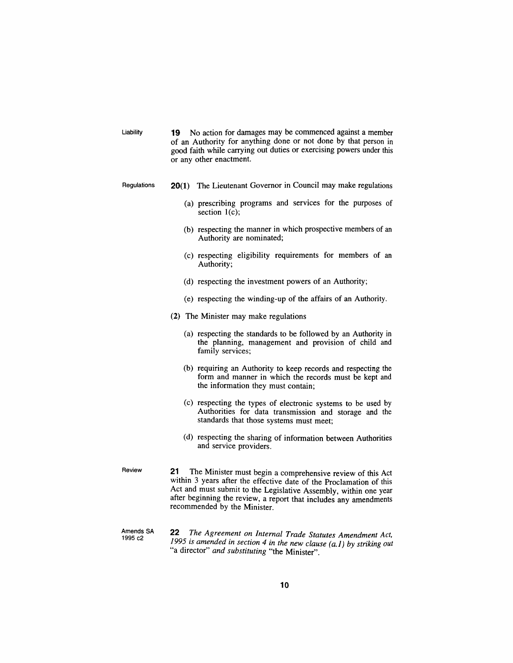| Liability                | 19 No action for damages may be commenced against a member<br>of an Authority for anything done or not done by that person in<br>good faith while carrying out duties or exercising powers under this<br>or any other enactment.                                                                                 |  |  |  |  |  |  |  |
|--------------------------|------------------------------------------------------------------------------------------------------------------------------------------------------------------------------------------------------------------------------------------------------------------------------------------------------------------|--|--|--|--|--|--|--|
| Regulations              | 20(1) The Lieutenant Governor in Council may make regulations                                                                                                                                                                                                                                                    |  |  |  |  |  |  |  |
|                          | (a) prescribing programs and services for the purposes of<br>section $1(c)$ ;                                                                                                                                                                                                                                    |  |  |  |  |  |  |  |
|                          | (b) respecting the manner in which prospective members of an<br>Authority are nominated;                                                                                                                                                                                                                         |  |  |  |  |  |  |  |
|                          | (c) respecting eligibility requirements for members of an<br>Authority;                                                                                                                                                                                                                                          |  |  |  |  |  |  |  |
|                          | (d) respecting the investment powers of an Authority;                                                                                                                                                                                                                                                            |  |  |  |  |  |  |  |
|                          | (e) respecting the winding-up of the affairs of an Authority.                                                                                                                                                                                                                                                    |  |  |  |  |  |  |  |
|                          | (2) The Minister may make regulations                                                                                                                                                                                                                                                                            |  |  |  |  |  |  |  |
|                          | (a) respecting the standards to be followed by an Authority in<br>the planning, management and provision of child and<br>family services:                                                                                                                                                                        |  |  |  |  |  |  |  |
|                          | (b) requiring an Authority to keep records and respecting the<br>form and manner in which the records must be kept and<br>the information they must contain;                                                                                                                                                     |  |  |  |  |  |  |  |
|                          | (c) respecting the types of electronic systems to be used by<br>Authorities for data transmission and storage and the<br>standards that those systems must meet;                                                                                                                                                 |  |  |  |  |  |  |  |
|                          | (d) respecting the sharing of information between Authorities<br>and service providers.                                                                                                                                                                                                                          |  |  |  |  |  |  |  |
| Review                   | 21<br>The Minister must begin a comprehensive review of this Act<br>within 3 years after the effective date of the Proclamation of this<br>Act and must submit to the Legislative Assembly, within one year<br>after beginning the review, a report that includes any amendments<br>recommended by the Minister. |  |  |  |  |  |  |  |
| Amends SA<br>1005 $\sim$ | 22<br>The Agreement on Internal Trade Statutes Amendment Act,                                                                                                                                                                                                                                                    |  |  |  |  |  |  |  |

*Amends SA 1995 c2 1995 is amended in section 4 in the new clause (a.1) by striking out "a director" and substituting "the Minister".*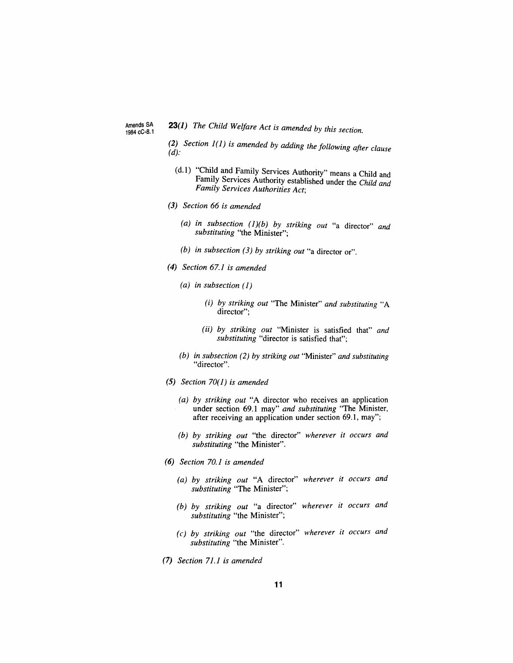*Amends SA 1984cC-8.1* *23(1) The Child Welfare Act is amended by this section.*

*(2) Section 1(1) is amended by adding the following after clause (d).*

- *(d.1) "Child and Family Services Authority" means a Child and Family Services Authority established under the Child and Family Services Authorities Act,*
- *(3) Section 66 is amended*
	- *(a) in subsection (1)(b) by striking out "a director" and substituting "the Minister";*
	- *(b) in subsection (3) by striking out "a director or".*
- *(4) Section 67.1 is amended*
	- *(a) in subsection (1)*
		- *(i) by striking out "The Minister" and substituting "A director";*
		- *(ii) by striking out "Minister is satisfied that" and substituting "director is satisfied that";*
	- *(b) in subsection (2) by striking out "Minister" and substituting "director".*
- *(5) Section 70(1) is amended*
	- *(a) by striking out "A director who receives an application under section 69.1 may" and substituting "The Minister, after receiving an application under section 69.1, may";*
	- *(b) by striking out "the director" wherever it occurs and substituting "the Minister".*
- *(6) Section 70.1 is amended*
	- *(a) by striking out "A director" wherever it occurs and substituting "The Minister";*
	- *(b) by striking out "a director" wherever it occurs and substituting "the Minister";*
	- *(c) by striking out "the director" wherever it occurs and substituting "the Minister".*
- *(7) Section 71.1 is amended*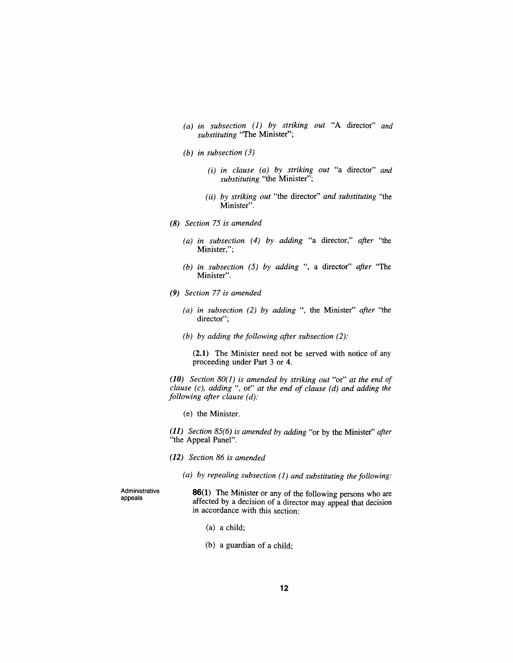- *(a) in subsection (1) by striking out "A director" and substituting "The Minister";*
- *(b) in subsection (3)*
	- *(i) in clause (a) by striking out "a director" and substituting "the Minister";*
	- *(ii) by striking out "the director" and substituting "the Minister".*
- *(8) Section 75 is amended*
	- *(a) in subsection (4) by adding "a director," after "the Minister,";*
	- *(b) in subsection (5) by adding ", a director" after "The Minister".*
- *(9) Section 77 is amended*
	- *(a) in subsection (2) by adding ", the Minister" after "the director";*
	- *(b) by adding the following after subsection (2):*

*(2.1) The Minister need not be served with notice of any proceeding under Part 3 or 4.*

*(10) Section 80(1) is amended by striking out "or" at the end of clause (c), adding ", or" at the end of clause (d) and adding the following after clause (d):*

*(e) the Minister.*

*(11) Section 85(6) is amended by adding "or by the Minister" after "the Appeal Panel".*

- *(12) Section 86 is amended*
	- *(a) by repealing subsection (1) and substituting the following:*

*Administrative appeals*

*86(1) The Minister or any of the following persons who are affected by a decision of a director may appeal that decision in accordance with this section:*

- *(a) a child;*
- *(b) a guardian of a child;*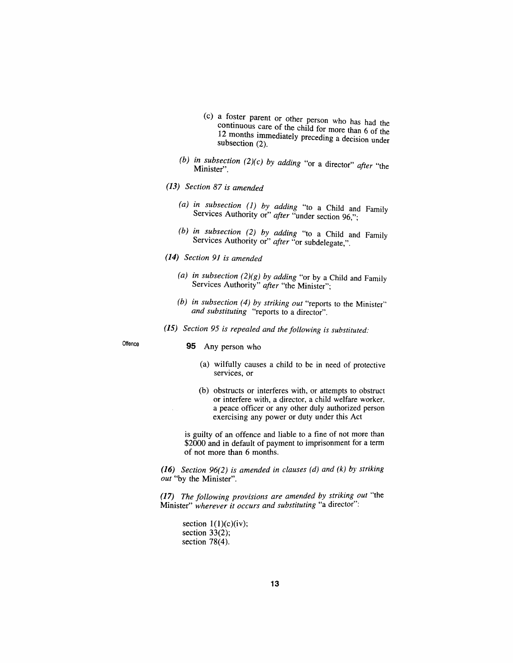- *(c) a foster parent or other person who has had the continuous care of the child for more than 6 of the 12 months immediately preceding a decision under subsection (2).*
- *(b) in subsection (2)(c) by adding "or a director" after "the Minister".*
- *(13) Section 87 is amended*
	- *(a) in subsection (1) by adding "to a Child and Family Services Authority or" after "under section 96";*
	- *(b) in subsection (2) by adding "to a Child and Family Services Authority or" after "or subdelegate,".*
- *(14) Section 91 is amended*
	- *(a) in subsection (2)(g) by adding "or by a Child and Family Services Authority" after "the Minister";*
	- *(b) in subsection (4) by striking out "reports to the Minister" and substituting "reports to a director".*
- *(15) Section 95 is repealed and the following is substituted:*

## *Offence 95 Any person who*

- *(a) wilfully causes a child to be in need of protective services, or*
- *(b) obstructs or interferes with, or attempts to obstruct or interfere with, a director, a child welfare worker, a peace officer or any other duly authorized person exercising any power or duty under this Act*

*is guilty of an offence and liable to a fine of not more than \$2000 and in default of payment to imprisonment for a term of not more than 6 months.*

*(16) Section 96(2) is amended in clauses (d) and (k) by striking out "by the Minister".*

*(17) The following provisions are amended by striking out "the Minister" wherever it occurs and substituting "a director":*

*section <sup>1</sup>(1)(c)(iv); section 33(2); section 78(4).*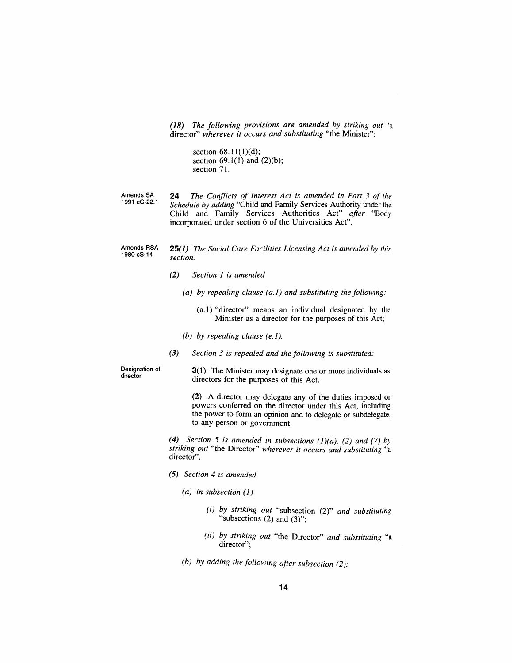*(18) The following provisions are amended by striking out "a director" wherever it occurs and substituting "the Minister":*

> *section 68.11(1)(d); section 69.1(1) and (2)(b); section 71.*

*Amends SA 1991 cC-22.1 24 The Conflicts of Interest Act is amended in Part 3 of the Schedule by adding "Child and Family Services Authority under the Child and Family Services Authorities Act" after "Body incorporated under section 6 of the Universities Act".*

*Amends RSA 1980 cS-14 25(1) The Social Care Facilities Licensing Act is amended by this section.*

- *(2) Section 1 is amended*
	- *(a) by repealing clause (a.1) and substituting the following:*
		- *(a.1) "director" means an individual designated by the Minister as a director for the purposes of this Act;*
	- *(b) by repealing clause (e.1).*
- *(3) Section 3 is repealed and the following is substituted:*

*Designation of director*

*3(1) The Minister may designate one or more individuals as directors for the purposes of this Act.*

*(2) A director may delegate any of the duties imposed or powers conferred on the director under this Act, including the power to form an opinion and to delegate or subdelegate, to any person or government.*

*(4) Section 5 is amended in subsections (1)(a), (2) and (7) by striking out "the Director" wherever it occurs and substituting "a director".*

- *(5) Section 4 is amended*
	- *(a) in subsection (1)*
		- *(i) by striking out "subsection (2)" and substituting "subsections (2) and (3)";*
		- *(ii) by striking out "the Director" and substituting "a director";*
	- *(b) by adding the following after subsection (2):*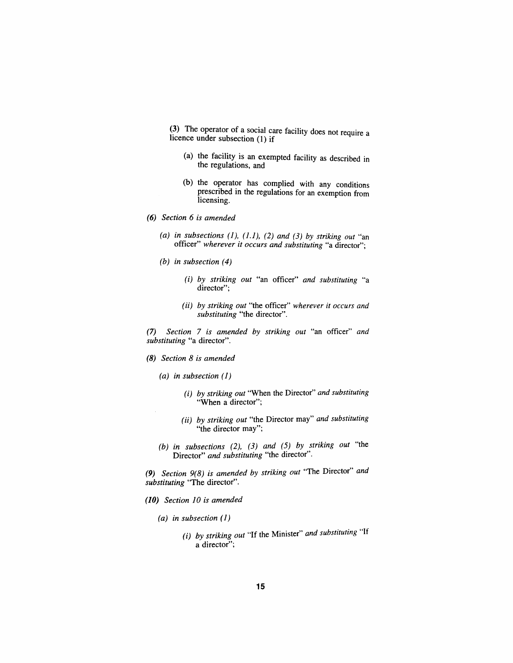*(3) The operator of a social care facility does not require a licence under subsection (<sup>1</sup>) if*

- *(a) the facility is an exempted facility as described in the regulations, and*
- *(b) the operator has complied with any conditions prescribed in the regulations for an exemption from licensing.*
- *(6) Section 6 is amended.*
	- *(a) in subsections (1), (1.1), (2) and (3) by striking out "an officer" wherever it occurs and substituting "a director";*
	- *(b) in subsection (4)*
		- *(i) by striking out "an officer" and substituting "a director";*
		- *(ii) by striking out "the officer" wherever it occurs and substituting "the director".*

*(7) Section 7 is amended by striking out "an officer" and substituting "a director".*

- *(8) Section 8 is amended*
	- *(a) in subsection (1)*
		- *(i) by striking out "When the Director" and substituting "When a director";*
		- *(ii) by striking out "the Director may" and substituting "the director may";*
	- *(b) in subsections (2), (3) and (5) by striking out "the Director" and substituting "the director".*

*(9) Section 9(8) is amended by striking out "The Director" and substituting "The director".*

- *(10) Section 10 is amended*
	- *(a) in subsection (1)*
		- *(i) by striking out "If the Minister" and substituting "If a director";*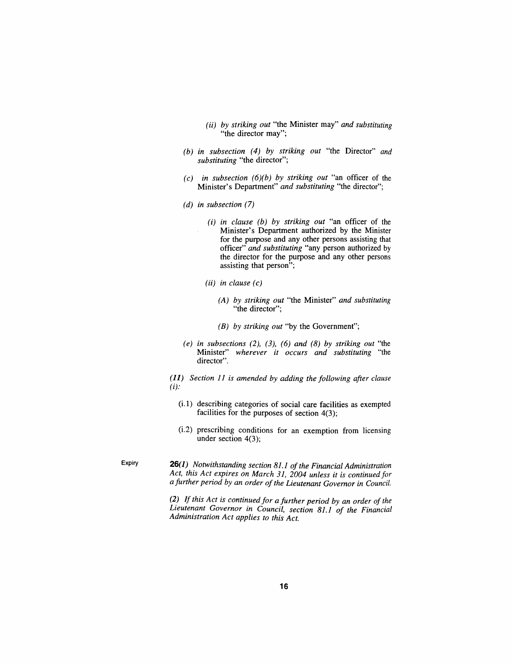- *(ii) by striking out "the Minister may" and substituting "the director may";*
- *(b) in subsection (4) by striking out "the Director" and substituting "the director";*
- *(c) in subsection (6)(b) by striking out "an officer of the Minister's Department" and substituting "the director";*
- *(d) in subsection (7)*
	- *(i) in clause (b) by striking out "an officer of the Minister's Department authorized by the Minister for the purpose and any other persons assisting that officer" and substituting "any person authorized by the director for the purpose and any other persons assisting that person";*
	- *(ii) in clause (c)*
		- *(A) by striking out "the Minister" and substituting "the director";*
		- *(B) by striking out "by the Government";*
- *(e) in subsections (2), (3), (6) and (8) by striking out "the Minister" wherever it occurs and substituting "the director".*

*(11) Section 11 is amended by adding the following after clause (i):*

- *(i.1) describing categories of social care facilities as exempted facilities for the purposes of section 4(3);*
- *(i.2) prescribing conditions for an exemption from licensing under section 4(3);*

*Expiry 26(1) Notwithstanding section 81.1 ofthe Financial Administration Act, this Act expires on March 31, 2004 unless it is continued for a further period by an order ofthe Lieutenant Governor in Council.*

> *(2) Ifthis Act is continuedfor a further period by an order of the Lieutenant Governor in Council, section 81.1 of the Financial Administration Act applies to this Act.*